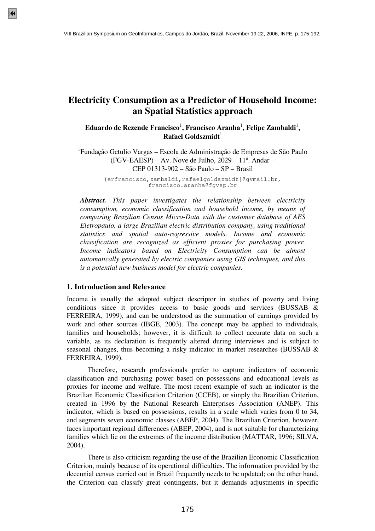# **Electricity Consumption as a Predictor of Household Income: an Spatial Statistics approach**

Eduardo de Rezende Francisco<sup>1</sup>, Francisco Aranha<sup>1</sup>, Felipe Zambaldi<sup>1</sup>, **Rafael Goldszmidt**<sup>1</sup>

<sup>1</sup> Fundação Getulio Vargas – Escola de Administração de Empresas de São Paulo (FGV-EAESP) – Av. Nove de Julho, 2029 – 11º. Andar – CEP 01313-902 – São Paulo – SP – Brasil

> {erfrancisco,zambaldi,rafaelgoldszmidt}@gvmail.br, francisco.aranha@fgvsp.br

*Abstract. This paper investigates the relationship between electricity consumption, economic classification and household income, by means of comparing Brazilian Census Micro-Data with the customer database of AES Eletropaulo, a large Brazilian electric distribution company, using traditional statistics and spatial auto-regressive models. Income and economic classification are recognized as efficient proxies for purchasing power. Income indicators based on Electricity Consumption can be almost automatically generated by electric companies using GIS techniques, and this is a potential new business model for electric companies.* 

#### **1. Introduction and Relevance**

Income is usually the adopted subject descriptor in studies of poverty and living conditions since it provides access to basic goods and services (BUSSAB & FERREIRA, 1999), and can be understood as the summation of earnings provided by work and other sources (IBGE, 2003). The concept may be applied to individuals, families and households; however, it is difficult to collect accurate data on such a variable, as its declaration is frequently altered during interviews and is subject to seasonal changes, thus becoming a risky indicator in market researches (BUSSAB & FERREIRA, 1999).

Therefore, research professionals prefer to capture indicators of economic classification and purchasing power based on possessions and educational levels as proxies for income and welfare. The most recent example of such an indicator is the Brazilian Economic Classification Criterion (CCEB), or simply the Brazilian Criterion, created in 1996 by the National Research Enterprises Association (ANEP). This indicator, which is based on possessions, results in a scale which varies from 0 to 34, and segments seven economic classes (ABEP, 2004). The Brazilian Criterion, however, faces important regional differences (ABEP, 2004), and is not suitable for characterizing families which lie on the extremes of the income distribution (MATTAR, 1996; SILVA, 2004).

There is also criticism regarding the use of the Brazilian Economic Classification Criterion, mainly because of its operational difficulties. The information provided by the decennial census carried out in Brazil frequently needs to be updated; on the other hand, the Criterion can classify great contingents, but it demands adjustments in specific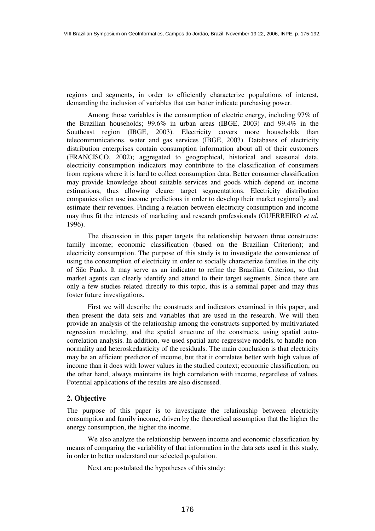regions and segments, in order to efficiently characterize populations of interest, demanding the inclusion of variables that can better indicate purchasing power.

Among those variables is the consumption of electric energy, including 97% of the Brazilian households; 99.6% in urban areas (IBGE, 2003) and 99.4% in the Southeast region (IBGE, 2003). Electricity covers more households than telecommunications, water and gas services (IBGE, 2003). Databases of electricity distribution enterprises contain consumption information about all of their customers (FRANCISCO, 2002); aggregated to geographical, historical and seasonal data, electricity consumption indicators may contribute to the classification of consumers from regions where it is hard to collect consumption data. Better consumer classification may provide knowledge about suitable services and goods which depend on income estimations, thus allowing clearer target segmentations. Electricity distribution companies often use income predictions in order to develop their market regionally and estimate their revenues. Finding a relation between electricity consumption and income may thus fit the interests of marketing and research professionals (GUERREIRO *et al*, 1996).

The discussion in this paper targets the relationship between three constructs: family income; economic classification (based on the Brazilian Criterion); and electricity consumption. The purpose of this study is to investigate the convenience of using the consumption of electricity in order to socially characterize families in the city of São Paulo. It may serve as an indicator to refine the Brazilian Criterion, so that market agents can clearly identify and attend to their target segments. Since there are only a few studies related directly to this topic, this is a seminal paper and may thus foster future investigations.

First we will describe the constructs and indicators examined in this paper, and then present the data sets and variables that are used in the research. We will then provide an analysis of the relationship among the constructs supported by multivariated regression modeling, and the spatial structure of the constructs, using spatial autocorrelation analysis. In addition, we used spatial auto-regressive models, to handle nonnormality and heteroskedasticity of the residuals. The main conclusion is that electricity may be an efficient predictor of income, but that it correlates better with high values of income than it does with lower values in the studied context; economic classification, on the other hand, always maintains its high correlation with income, regardless of values. Potential applications of the results are also discussed.

# **2. Objective**

The purpose of this paper is to investigate the relationship between electricity consumption and family income, driven by the theoretical assumption that the higher the energy consumption, the higher the income.

We also analyze the relationship between income and economic classification by means of comparing the variability of that information in the data sets used in this study, in order to better understand our selected population.

Next are postulated the hypotheses of this study: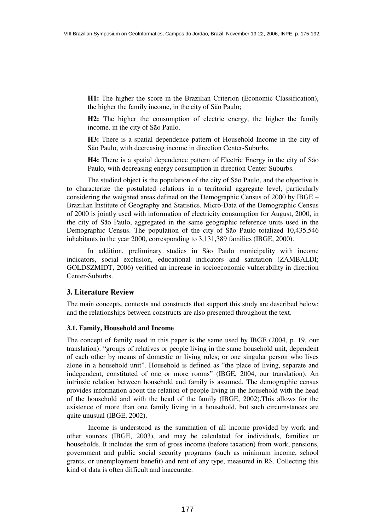**H1:** The higher the score in the Brazilian Criterion (Economic Classification), the higher the family income, in the city of São Paulo;

**H2:** The higher the consumption of electric energy, the higher the family income, in the city of São Paulo.

**H3:** There is a spatial dependence pattern of Household Income in the city of São Paulo, with decreasing income in direction Center-Suburbs.

**H4:** There is a spatial dependence pattern of Electric Energy in the city of São Paulo, with decreasing energy consumption in direction Center-Suburbs.

The studied object is the population of the city of São Paulo, and the objective is to characterize the postulated relations in a territorial aggregate level, particularly considering the weighted areas defined on the Demographic Census of 2000 by IBGE – Brazilian Institute of Geography and Statistics. Micro-Data of the Demographic Census of 2000 is jointly used with information of electricity consumption for August, 2000, in the city of São Paulo, aggregated in the same geographic reference units used in the Demographic Census. The population of the city of São Paulo totalized 10,435,546 inhabitants in the year 2000, corresponding to 3,131,389 families (IBGE, 2000).

In addition, preliminary studies in São Paulo municipality with income indicators, social exclusion, educational indicators and sanitation (ZAMBALDI; GOLDSZMIDT, 2006) verified an increase in socioeconomic vulnerability in direction Center-Suburbs.

#### **3. Literature Review**

The main concepts, contexts and constructs that support this study are described below; and the relationships between constructs are also presented throughout the text.

#### **3.1. Family, Household and Income**

The concept of family used in this paper is the same used by IBGE (2004, p. 19, our translation): "groups of relatives or people living in the same household unit, dependent of each other by means of domestic or living rules; or one singular person who lives alone in a household unit". Household is defined as "the place of living, separate and independent, constituted of one or more rooms" (IBGE, 2004, our translation). An intrinsic relation between household and family is assumed. The demographic census provides information about the relation of people living in the household with the head of the household and with the head of the family (IBGE, 2002).This allows for the existence of more than one family living in a household, but such circumstances are quite unusual (IBGE, 2002).

 Income is understood as the summation of all income provided by work and other sources (IBGE, 2003), and may be calculated for individuals, families or households. It includes the sum of gross income (before taxation) from work, pensions, government and public social security programs (such as minimum income, school grants, or unemployment benefit) and rent of any type, measured in R\$. Collecting this kind of data is often difficult and inaccurate.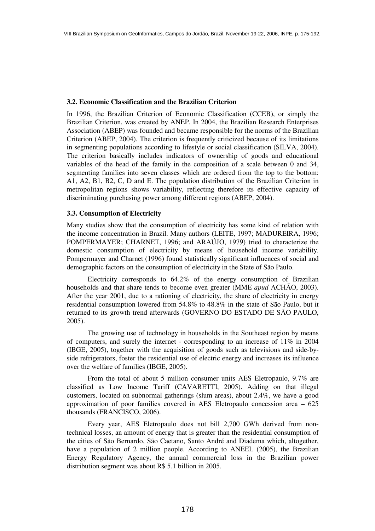# **3.2. Economic Classification and the Brazilian Criterion**

In 1996, the Brazilian Criterion of Economic Classification (CCEB), or simply the Brazilian Criterion, was created by ANEP. In 2004, the Brazilian Research Enterprises Association (ABEP) was founded and became responsible for the norms of the Brazilian Criterion (ABEP, 2004). The criterion is frequently criticized because of its limitations in segmenting populations according to lifestyle or social classification (SILVA, 2004). The criterion basically includes indicators of ownership of goods and educational variables of the head of the family in the composition of a scale between 0 and 34, segmenting families into seven classes which are ordered from the top to the bottom: A1, A2, B1, B2, C, D and E. The population distribution of the Brazilian Criterion in metropolitan regions shows variability, reflecting therefore its effective capacity of discriminating purchasing power among different regions (ABEP, 2004).

# **3.3. Consumption of Electricity**

Many studies show that the consumption of electricity has some kind of relation with the income concentration in Brazil. Many authors (LEITE, 1997; MADUREIRA, 1996; POMPERMAYER; CHARNET, 1996; and ARAÚJO, 1979) tried to characterize the domestic consumption of electricity by means of household income variability. Pompermayer and Charnet (1996) found statistically significant influences of social and demographic factors on the consumption of electricity in the State of São Paulo.

Electricity corresponds to 64.2% of the energy consumption of Brazilian households and that share tends to become even greater (MME *apud* ACHÃO, 2003). After the year 2001, due to a rationing of electricity, the share of electricity in energy residential consumption lowered from 54.8% to 48.8% in the state of São Paulo, but it returned to its growth trend afterwards (GOVERNO DO ESTADO DE SÃO PAULO, 2005).

The growing use of technology in households in the Southeast region by means of computers, and surely the internet - corresponding to an increase of 11% in 2004 (IBGE, 2005), together with the acquisition of goods such as televisions and side-byside refrigerators, foster the residential use of electric energy and increases its influence over the welfare of families (IBGE, 2005).

From the total of about 5 million consumer units AES Eletropaulo, 9.7% are classified as Low Income Tariff (CAVARETTI, 2005). Adding on that illegal customers, located on subnormal gatherings (slum areas), about 2.4%, we have a good approximation of poor families covered in AES Eletropaulo concession area – 625 thousands (FRANCISCO, 2006).

Every year, AES Eletropaulo does not bill 2,700 GWh derived from nontechnical losses, an amount of energy that is greater than the residential consumption of the cities of São Bernardo, São Caetano, Santo André and Diadema which, altogether, have a population of 2 million people. According to ANEEL (2005), the Brazilian Energy Regulatory Agency, the annual commercial loss in the Brazilian power distribution segment was about R\$ 5.1 billion in 2005.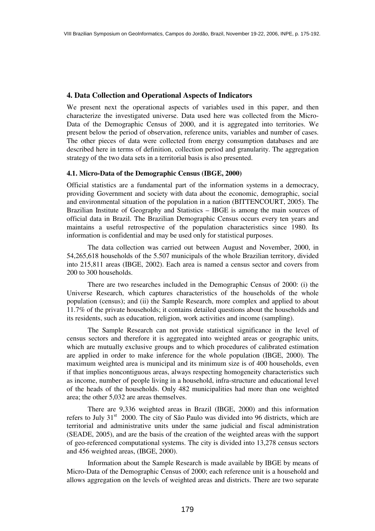# **4. Data Collection and Operational Aspects of Indicators**

We present next the operational aspects of variables used in this paper, and then characterize the investigated universe. Data used here was collected from the Micro-Data of the Demographic Census of 2000, and it is aggregated into territories. We present below the period of observation, reference units, variables and number of cases. The other pieces of data were collected from energy consumption databases and are described here in terms of definition, collection period and granularity. The aggregation strategy of the two data sets in a territorial basis is also presented.

## **4.1. Micro-Data of the Demographic Census (IBGE, 2000)**

Official statistics are a fundamental part of the information systems in a democracy, providing Government and society with data about the economic, demographic, social and environmental situation of the population in a nation (BITTENCOURT, 2005). The Brazilian Institute of Geography and Statistics – IBGE is among the main sources of official data in Brazil. The Brazilian Demographic Census occurs every ten years and maintains a useful retrospective of the population characteristics since 1980. Its information is confidential and may be used only for statistical purposes.

The data collection was carried out between August and November, 2000, in 54,265,618 households of the 5.507 municipals of the whole Brazilian territory, divided into 215,811 areas (IBGE, 2002). Each area is named a census sector and covers from 200 to 300 households.

There are two researches included in the Demographic Census of 2000: (i) the Universe Research, which captures characteristics of the households of the whole population (census); and (ii) the Sample Research, more complex and applied to about 11.7% of the private households; it contains detailed questions about the households and its residents, such as education, religion, work activities and income (sampling).

The Sample Research can not provide statistical significance in the level of census sectors and therefore it is aggregated into weighted areas or geographic units, which are mutually exclusive groups and to which procedures of calibrated estimation are applied in order to make inference for the whole population (IBGE, 2000). The maximum weighted area is municipal and its minimum size is of 400 households, even if that implies noncontiguous areas, always respecting homogeneity characteristics such as income, number of people living in a household, infra-structure and educational level of the heads of the households. Only 482 municipalities had more than one weighted area; the other 5,032 are areas themselves.

There are 9,336 weighted areas in Brazil (IBGE, 2000) and this information refers to July 31<sup>st</sup> 2000. The city of São Paulo was divided into 96 districts, which are territorial and administrative units under the same judicial and fiscal administration (SEADE, 2005), and are the basis of the creation of the weighted areas with the support of geo-referenced computational systems. The city is divided into 13,278 census sectors and 456 weighted areas, (IBGE, 2000).

Information about the Sample Research is made available by IBGE by means of Micro-Data of the Demographic Census of 2000; each reference unit is a household and allows aggregation on the levels of weighted areas and districts. There are two separate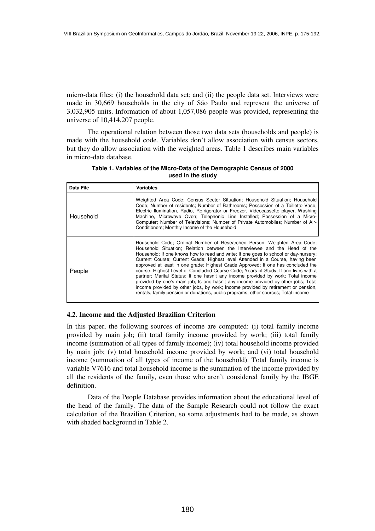micro-data files: (i) the household data set; and (ii) the people data set. Interviews were made in 30,669 households in the city of São Paulo and represent the universe of 3,032,905 units. Information of about 1,057,086 people was provided, representing the universe of 10,414,207 people.

The operational relation between those two data sets (households and people) is made with the household code. Variables don't allow association with census sectors, but they do allow association with the weighted areas. Table 1 describes main variables in micro-data database.

| Data File | Variables                                                                                                                                                                                                                                                                                                                                                                                                                                                                                                                                                                                                                                                                                                                                                                                                                                                       |
|-----------|-----------------------------------------------------------------------------------------------------------------------------------------------------------------------------------------------------------------------------------------------------------------------------------------------------------------------------------------------------------------------------------------------------------------------------------------------------------------------------------------------------------------------------------------------------------------------------------------------------------------------------------------------------------------------------------------------------------------------------------------------------------------------------------------------------------------------------------------------------------------|
| Household | Weighted Area Code: Census Sector Situation: Household Situation: Household<br>Code; Number of residents; Number of Bathrooms; Possession of a Toillette Vase,<br>Electric Ilumination, Radio, Refrigerator or Freezer, Videocassette player, Washing<br>Machine, Microwave Oven; Telephonic Line Installed; Possession of a Micro-<br>Computer; Number of Televisions; Number of Private Automobiles; Number of Air-<br>Conditioners: Monthly Income of the Household                                                                                                                                                                                                                                                                                                                                                                                          |
| People    | Household Code: Ordinal Number of Researched Person: Weighted Area Code:<br>Household Situation; Relation between the Interviewee and the Head of the<br>Household; If one knows how to read and write; If one goes to school or day-nursery;<br>Current Course; Current Grade; Highest level Attended in a Course, having been<br>approved at least in one grade; Highest Grade Approved; If one has concluded the<br>course; Highest Level of Concluded Course Code; Years of Study; If one lives with a<br>partner; Marital Status; If one hasn't any income provided by work; Total income<br>provided by one's main job; Is one hasn't any income provided by other jobs; Total<br>income provided by other jobs, by work; Income provided by retirement or pension,<br>rentals, family pension or donations, public programs, other sources; Total income |

**Table 1. Variables of the Micro-Data of the Demographic Census of 2000 used in the study** 

## **4.2. Income and the Adjusted Brazilian Criterion**

In this paper, the following sources of income are computed: (i) total family income provided by main job; (ii) total family income provided by work; (iii) total family income (summation of all types of family income); (iv) total household income provided by main job; (v) total household income provided by work; and (vi) total household income (summation of all types of income of the household). Total family income is variable V7616 and total household income is the summation of the income provided by all the residents of the family, even those who aren't considered family by the IBGE definition.

Data of the People Database provides information about the educational level of the head of the family. The data of the Sample Research could not follow the exact calculation of the Brazilian Criterion, so some adjustments had to be made, as shown with shaded background in Table 2.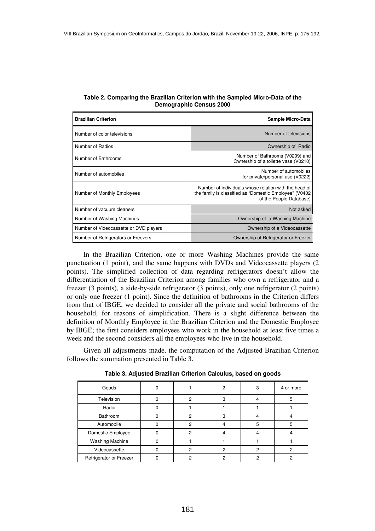| <b>Brazilian Criterion</b>             | Sample Micro-Data                                                                                                                           |  |  |  |
|----------------------------------------|---------------------------------------------------------------------------------------------------------------------------------------------|--|--|--|
| Number of color televisions            | Number of televisions                                                                                                                       |  |  |  |
| Number of Radios                       | Ownership of Radio                                                                                                                          |  |  |  |
| Number of Bathrooms                    | Number of Bathrooms (V0209) and<br>Ownership of a toilette vase (V0210)                                                                     |  |  |  |
| Number of automobiles                  | Number of automobiles<br>for private/personal use (V0222)                                                                                   |  |  |  |
| Number of Monthly Employees            | Number of individuals whose relation with the head of<br>the family is classified as "Domestic Employee" (V0402)<br>of the People Database) |  |  |  |
| Number of vacuum cleaners              | Not asked                                                                                                                                   |  |  |  |
| Number of Washing Machines             | Ownership of a Washing Machine                                                                                                              |  |  |  |
| Number of Videocassette or DVD players | Ownership of a Videocassette                                                                                                                |  |  |  |
| Number of Refrigerators or Freezers    | Ownership of Refrigerator or Freezer                                                                                                        |  |  |  |

| Table 2. Comparing the Brazilian Criterion with the Sampled Micro-Data of the |
|-------------------------------------------------------------------------------|
| <b>Demographic Census 2000</b>                                                |

In the Brazilian Criterion, one or more Washing Machines provide the same punctuation (1 point), and the same happens with DVDs and Videocassette players (2 points). The simplified collection of data regarding refrigerators doesn't allow the differentiation of the Brazilian Criterion among families who own a refrigerator and a freezer (3 points), a side-by-side refrigerator (3 points), only one refrigerator (2 points) or only one freezer (1 point). Since the definition of bathrooms in the Criterion differs from that of IBGE, we decided to consider all the private and social bathrooms of the household, for reasons of simplification. There is a slight difference between the definition of Monthly Employee in the Brazilian Criterion and the Domestic Employee by IBGE; the first considers employees who work in the household at least five times a week and the second considers all the employees who live in the household.

Given all adjustments made, the computation of the Adjusted Brazilian Criterion follows the summation presented in Table 3.

| Goods                   |   | 2 | 3 | 4 or more |
|-------------------------|---|---|---|-----------|
| Television              | 2 |   |   |           |
| Radio                   |   |   |   |           |
| Bathroom                | 2 |   | 4 |           |
| Automobile              | 2 |   | 5 |           |
| Domestic Employee       | 2 |   |   |           |
| <b>Washing Machine</b>  |   |   |   |           |
| Videocassette           | ົ | ົ | ົ |           |
| Refrigerator or Freezer |   |   |   |           |

**Table 3. Adjusted Brazilian Criterion Calculus, based on goods**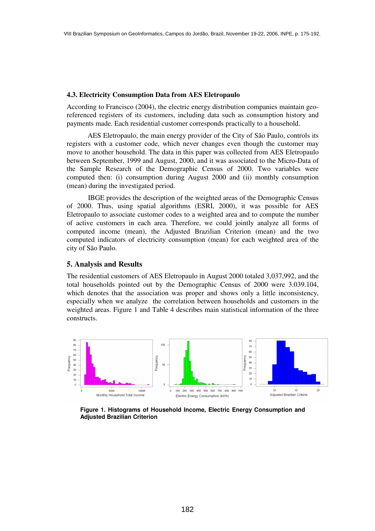## **4.3. Electricity Consumption Data from AES Eletropaulo**

According to Francisco (2004), the electric energy distribution companies maintain georeferenced registers of its customers, including data such as consumption history and payments made. Each residential customer corresponds practically to a household.

AES Eletropaulo, the main energy provider of the City of São Paulo, controls its registers with a customer code, which never changes even though the customer may move to another household. The data in this paper was collected from AES Eletropaulo between September, 1999 and August, 2000, and it was associated to the Micro-Data of the Sample Research of the Demographic Census of 2000. Two variables were computed then: (i) consumption during August 2000 and (ii) monthly consumption (mean) during the investigated period.

 IBGE provides the description of the weighted areas of the Demographic Census of 2000. Thus, using spatial algorithms (ESRI, 2000), it was possible for AES Eletropaulo to associate customer codes to a weighted area and to compute the number of active customers in each area. Therefore, we could jointly analyze all forms of computed income (mean), the Adjusted Brazilian Criterion (mean) and the two computed indicators of electricity consumption (mean) for each weighted area of the city of São Paulo.

# **5. Analysis and Results**

The residential customers of AES Eletropaulo in August 2000 totaled 3,037,992, and the total households pointed out by the Demographic Census of 2000 were 3.039.104, which denotes that the association was proper and shows only a little inconsistency, especially when we analyze the correlation between households and customers in the weighted areas. Figure 1 and Table 4 describes main statistical information of the three constructs.



**Figure 1. Histograms of Household Income, Electric Energy Consumption and Adjusted Brazilian Criterion**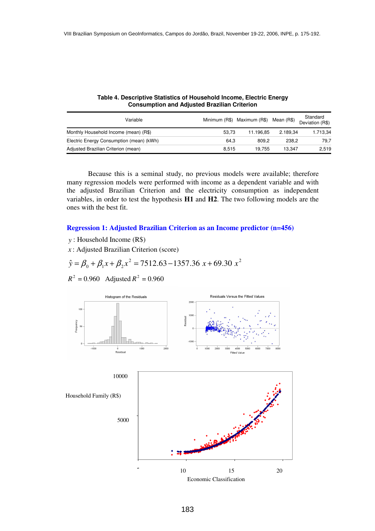| Variable                                 |       | Minimum (R\$) Maximum (R\$) Mean (R\$) |          | Standard<br>Deviation (R\$) |
|------------------------------------------|-------|----------------------------------------|----------|-----------------------------|
| Monthly Household Income (mean) (R\$)    | 53.73 | 11.196.85                              | 2.189.34 | 1.713,34                    |
| Electric Energy Consumption (mean) (kWh) | 64.3  | 809.2                                  | 238.2    | 79.7                        |
| Adjusted Brazilian Criterion (mean)      | 8.515 | 19.755                                 | 13.347   | 2.519                       |

**Table 4. Descriptive Statistics of Household Income, Electric Energy Consumption and Adjusted Brazilian Criterion** 

 Because this is a seminal study, no previous models were available; therefore many regression models were performed with income as a dependent variable and with the adjusted Brazilian Criterion and the electricity consumption as independent variables, in order to test the hypothesis **H1** and **H2**. The two following models are the ones with the best fit.

## **Regression 1: Adjusted Brazilian Criterion as an Income predictor (n=456)**

- *y* : Household Income (R\$)
- *x* : Adjusted Brazilian Criterion (score)

$$
\hat{y} = \beta_0 + \beta_1 x + \beta_2 x^2 = 7512.63 - 1357.36 x + 69.30 x^2
$$

$$
R^2 = 0.960
$$
 Adjusted  $R^2 = 0.960$ 



183

Economic Classification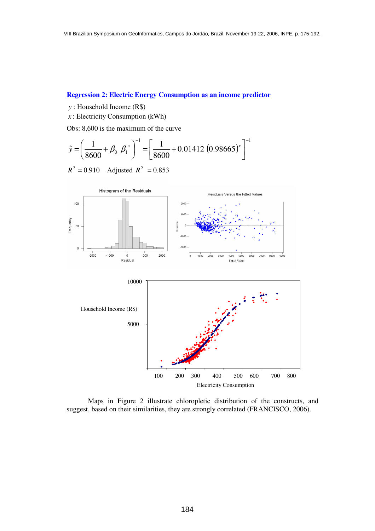# **Regression 2: Electric Energy Consumption as an income predictor**

- *y* : Household Income (R\$)
- *x* : Electricity Consumption (kWh)

Obs: 8,600 is the maximum of the curve

$$
\hat{y} = \left(\frac{1}{8600} + \beta_0 \beta_1^x\right)^{-1} = \left[\frac{1}{8600} + 0.01412 \ (0.98665)^x\right]^{-1}
$$

 $R^2 = 0.910$  Adjusted  $R^2 = 0.853$ 



 Maps in Figure 2 illustrate chloropletic distribution of the constructs, and suggest, based on their similarities, they are strongly correlated (FRANCISCO, 2006).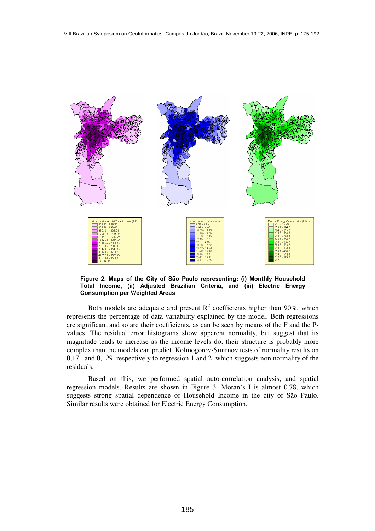

**Figure 2. Maps of the City of São Paulo representing: (i) Monthly Household Total Income, (ii) Adjusted Brazilian Criteria, and (iii) Electric Energy Consumption per Weighted Areas** 

Both models are adequate and present  $R^2$  coefficients higher than 90%, which represents the percentage of data variability explained by the model. Both regressions are significant and so are their coefficients, as can be seen by means of the F and the Pvalues. The residual error histograms show apparent normality, but suggest that its magnitude tends to increase as the income levels do; their structure is probably more complex than the models can predict. Kolmogorov-Smirnov tests of normality results on 0,171 and 0,129, respectively to regression 1 and 2, which suggests non normality of the residuals.

 Based on this, we performed spatial auto-correlation analysis, and spatial regression models. Results are shown in Figure 3. Moran's I is almost 0.78, which suggests strong spatial dependence of Household Income in the city of São Paulo. Similar results were obtained for Electric Energy Consumption.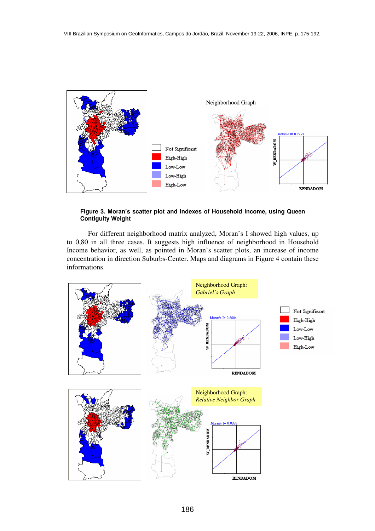

#### **Figure 3. Moran's scatter plot and indexes of Household Income, using Queen Contiguity Weight**

 For different neighborhood matrix analyzed, Moran's I showed high values, up to 0,80 in all three cases. It suggests high influence of neighborhood in Household Income behavior, as well, as pointed in Moran's scatter plots, an increase of income concentration in direction Suburbs-Center. Maps and diagrams in Figure 4 contain these informations.

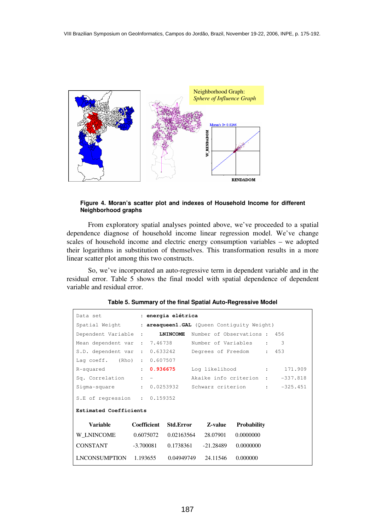

#### **Figure 4. Moran's scatter plot and indexes of Household Income for different Neighborhood graphs**

 From exploratory spatial analyses pointed above, we've proceeded to a spatial dependence diagnose of household income linear regression model. We've change scales of household income and electric energy consumption variables – we adopted their logarithms in substitution of themselves. This transformation results in a more linear scatter plot among this two constructs.

 So, we've incorporated an auto-regressive term in dependent variable and in the residual error. Table 5 shows the final model with spatial dependence of dependent variable and residual error.

| Data set and the set of the set of the set of the set of the set of the set of the set of the set of the set o<br>: energia elétrica |              |                                                                                             |                             |                    |  |            |
|--------------------------------------------------------------------------------------------------------------------------------------|--------------|---------------------------------------------------------------------------------------------|-----------------------------|--------------------|--|------------|
| Spatial Weight<br>: areaqueen1. GAL (Queen Contiguity Weight)                                                                        |              |                                                                                             |                             |                    |  |            |
| Dependent Variable :                                                                                                                 |              | <b>LNINCOME</b>                                                                             | Number of Observations: 456 |                    |  |            |
| Mean dependent var : 7.46738                                                                                                         |              |                                                                                             | Number of Variables :       |                    |  | 3          |
| S.D. dependent var :                                                                                                                 |              | 0.633242                                                                                    | Degrees of Freedom :        |                    |  | 453        |
| Lag $coeff.$ (Rho) :                                                                                                                 |              | 0.607507                                                                                    |                             |                    |  |            |
| R-squared                                                                                                                            | $\mathbf{r}$ | 0.936675                                                                                    | Log likelihood :            |                    |  | 171.909    |
| Sq. Correlation                                                                                                                      |              | Akaike info criterion : -337.818<br>$\mathbf{r} = \mathbf{r}$ and $\mathbf{r} = \mathbf{r}$ |                             |                    |  |            |
| Sigma-square                                                                                                                         |              | : 0.0253932                                                                                 | Schwarz criterion :         |                    |  | $-325.451$ |
| S.E of regression : $0.159352$                                                                                                       |              |                                                                                             |                             |                    |  |            |
| <b>Estimated Coefficients</b>                                                                                                        |              |                                                                                             |                             |                    |  |            |
| Variable                                                                                                                             | Coefficient  | <b>Std.Error</b>                                                                            | Z-value                     | <b>Probability</b> |  |            |
| W LNINCOME                                                                                                                           | 0.6075072    | 0.02163564                                                                                  | 28.07901                    | 0.0000000          |  |            |
| CONSTANT                                                                                                                             | -3.700081    | 0.1738361                                                                                   | -21.28489                   | 0.0000000          |  |            |
| LNCONSUMPTION 1.193655                                                                                                               |              | 0.04949749                                                                                  | 24.11546                    | 0.000000           |  |            |

## **Table 5. Summary of the final Spatial Auto-Regressive Model**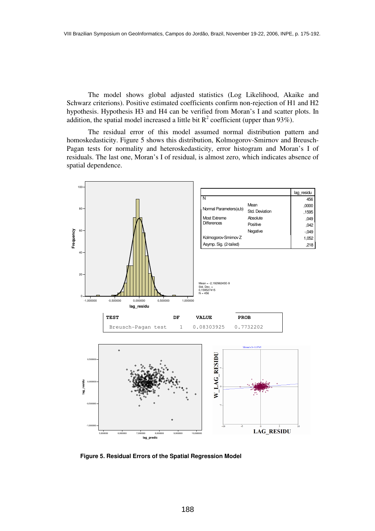The model shows global adjusted statistics (Log Likelihood, Akaike and Schwarz criterions). Positive estimated coefficients confirm non-rejection of H1 and H2 hypothesis. Hypothesis H3 and H4 can be verified from Moran's I and scatter plots. In addition, the spatial model increased a little bit  $R^2$  coefficient (upper than 93%).

 The residual error of this model assumed normal distribution pattern and homoskedasticity. Figure 5 shows this distribution, Kolmogorov-Smirnov and Breusch-Pagan tests for normality and heteroskedasticity, error histogram and Moran's I of residuals. The last one, Moran's I of residual, is almost zero, which indicates absence of spatial dependence.



**Figure 5. Residual Errors of the Spatial Regression Model**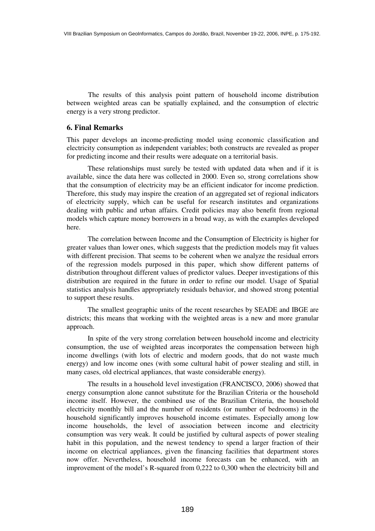The results of this analysis point pattern of household income distribution between weighted areas can be spatially explained, and the consumption of electric energy is a very strong predictor.

## **6. Final Remarks**

This paper develops an income-predicting model using economic classification and electricity consumption as independent variables; both constructs are revealed as proper for predicting income and their results were adequate on a territorial basis.

These relationships must surely be tested with updated data when and if it is available, since the data here was collected in 2000. Even so, strong correlations show that the consumption of electricity may be an efficient indicator for income prediction. Therefore, this study may inspire the creation of an aggregated set of regional indicators of electricity supply, which can be useful for research institutes and organizations dealing with public and urban affairs. Credit policies may also benefit from regional models which capture money borrowers in a broad way, as with the examples developed here.

The correlation between Income and the Consumption of Electricity is higher for greater values than lower ones, which suggests that the prediction models may fit values with different precision. That seems to be coherent when we analyze the residual errors of the regression models purposed in this paper, which show different patterns of distribution throughout different values of predictor values. Deeper investigations of this distribution are required in the future in order to refine our model. Usage of Spatial statistics analysis handles appropriately residuals behavior, and showed strong potential to support these results.

The smallest geographic units of the recent researches by SEADE and IBGE are districts; this means that working with the weighted areas is a new and more granular approach.

In spite of the very strong correlation between household income and electricity consumption, the use of weighted areas incorporates the compensation between high income dwellings (with lots of electric and modern goods, that do not waste much energy) and low income ones (with some cultural habit of power stealing and still, in many cases, old electrical appliances, that waste considerable energy).

The results in a household level investigation (FRANCISCO, 2006) showed that energy consumption alone cannot substitute for the Brazilian Criteria or the household income itself. However, the combined use of the Brazilian Criteria, the household electricity monthly bill and the number of residents (or number of bedrooms) in the household significantly improves household income estimates. Especially among low income households, the level of association between income and electricity consumption was very weak. It could be justified by cultural aspects of power stealing habit in this population, and the newest tendency to spend a larger fraction of their income on electrical appliances, given the financing facilities that department stores now offer. Nevertheless, household income forecasts can be enhanced, with an improvement of the model's R-squared from 0,222 to 0,300 when the electricity bill and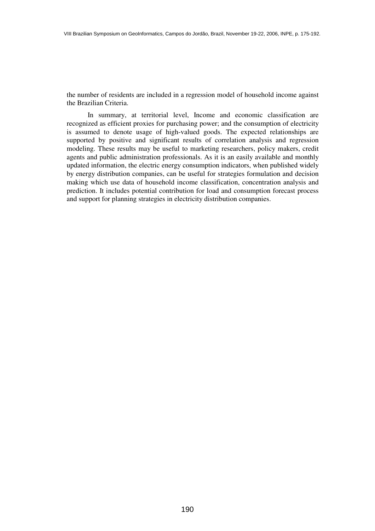the number of residents are included in a regression model of household income against the Brazilian Criteria.

In summary, at territorial level, Income and economic classification are recognized as efficient proxies for purchasing power; and the consumption of electricity is assumed to denote usage of high-valued goods. The expected relationships are supported by positive and significant results of correlation analysis and regression modeling. These results may be useful to marketing researchers, policy makers, credit agents and public administration professionals. As it is an easily available and monthly updated information, the electric energy consumption indicators, when published widely by energy distribution companies, can be useful for strategies formulation and decision making which use data of household income classification, concentration analysis and prediction. It includes potential contribution for load and consumption forecast process and support for planning strategies in electricity distribution companies.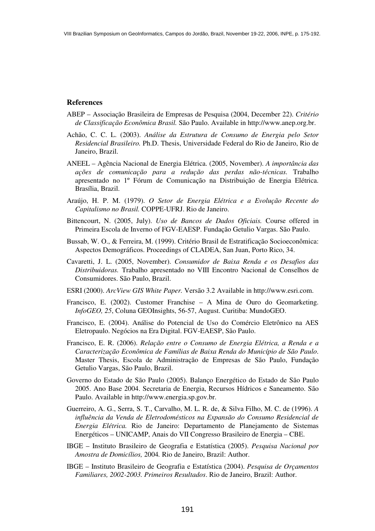#### **References**

- ABEP Associação Brasileira de Empresas de Pesquisa (2004, December 22). *Critério de Classificação Econômica Brasil.* São Paulo. Available in http://www.anep.org.br.
- Achão, C. C. L. (2003). *Análise da Estrutura de Consumo de Energia pelo Setor Residencial Brasileiro.* Ph.D. Thesis, Universidade Federal do Rio de Janeiro, Rio de Janeiro, Brazil.
- ANEEL Agência Nacional de Energia Elétrica. (2005, November). *A importância das ações de comunicação para a redução das perdas não-técnicas.* Trabalho apresentado no 1º Fórum de Comunicação na Distribuição de Energia Elétrica. Brasília, Brazil.
- Araújo, H. P. M. (1979). *O Setor de Energia Elétrica e a Evolução Recente do Capitalismo no Brasil.* COPPE-UFRJ. Rio de Janeiro.
- Bittencourt, N. (2005, July). *Uso de Bancos de Dados Oficiais.* Course offered in Primeira Escola de Inverno of FGV-EAESP. Fundação Getulio Vargas. São Paulo.
- Bussab, W. O., & Ferreira, M. (1999). Critério Brasil de Estratificação Socioeconômica: Aspectos Demográficos. Proceedings of CLADEA, San Juan, Porto Rico, 34.
- Cavaretti, J. L. (2005, November). *Consumidor de Baixa Renda e os Desafios das Distribuidoras.* Trabalho apresentado no VIII Encontro Nacional de Conselhos de Consumidores. São Paulo, Brazil.
- ESRI (2000). *ArcView GIS White Paper.* Versão 3.2 Available in http://www.esri.com.
- Francisco, E. (2002). Customer Franchise A Mina de Ouro do Geomarketing. *InfoGEO, 25*, Coluna GEOInsights, 56-57, August. Curitiba: MundoGEO.
- Francisco, E. (2004). Análise do Potencial de Uso do Comércio Eletrônico na AES Eletropaulo. Negócios na Era Digital. FGV-EAESP, São Paulo.
- Francisco, E. R. (2006). *Relação entre o Consumo de Energia Elétrica, a Renda e a Caracterização Econômica de Famílias de Baixa Renda do Município de São Paulo*. Master Thesis, Escola de Administração de Empresas de São Paulo, Fundação Getulio Vargas, São Paulo, Brazil.
- Governo do Estado de São Paulo (2005). Balanço Energético do Estado de São Paulo 2005. Ano Base 2004. Secretaria de Energia, Recursos Hídricos e Saneamento. São Paulo. Available in http://www.energia.sp.gov.br.
- Guerreiro, A. G., Serra, S. T., Carvalho, M. L. R. de, & Silva Filho, M. C. de (1996). *A influência da Venda de Eletrodomésticos na Expansão do Consumo Residencial de Energia Elétrica.* Rio de Janeiro: Departamento de Planejamento de Sistemas Energéticos – UNICAMP, Anais do VII Congresso Brasileiro de Energia – CBE.
- IBGE Instituto Brasileiro de Geografia e Estatística (2005). *Pesquisa Nacional por Amostra de Domicílios,* 2004*.* Rio de Janeiro, Brazil: Author.
- IBGE Instituto Brasileiro de Geografia e Estatística (2004). *Pesquisa de Orçamentos Familiares, 2002-2003. Primeiros Resultados*. Rio de Janeiro, Brazil: Author.